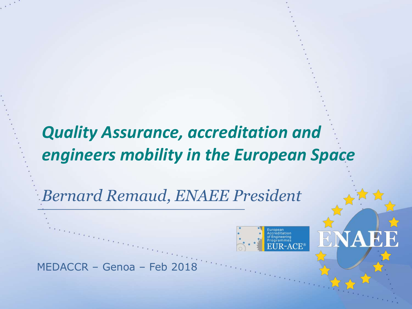## *Quality Assurance, accreditation and engineers mobility in the European Space*

*Bernard Remaud, ENAEE President*

MEDACCR – Genoa – Feb 2018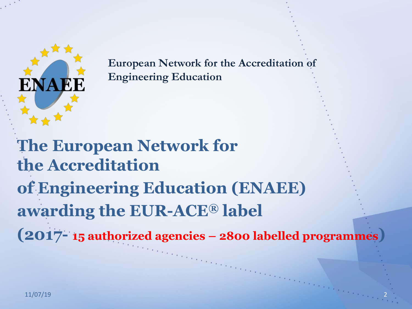

**European Network for the Accreditation of Engineering Education**

**The European Network for the Accreditation of Engineering Education (ENAEE) awarding the EUR-ACE® label (2017- 15 authorized agencies – 2800 labelled programmes)**

2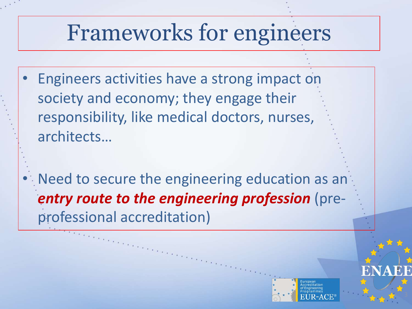## Frameworks for engineers

- Engineers activities have a strong impact on society and economy; they engage their responsibility, like medical doctors, nurses, architects…
- Need to secure the engineering education as an *entry route to the engineering profession (pre*professional accreditation)

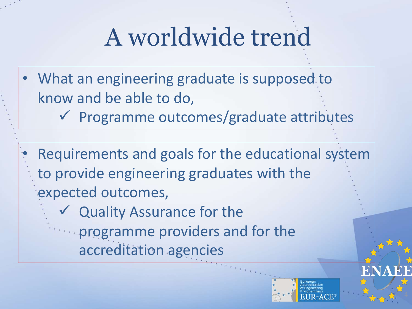# A worldwide trend

- What an engineering graduate is supposed to know and be able to do,
	- $\checkmark$  Programme outcomes/graduate attributes
- Requirements and goals for the educational system to provide engineering graduates with the expected outcomes,
	- $\checkmark$  Quality Assurance for the
		- programme providers and for the accreditation agencies

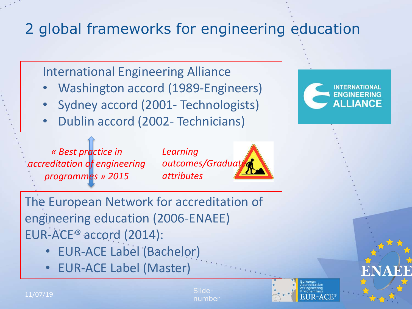## 2 global frameworks for engineering education

International Engineering Alliance

- Washington accord (1989-Engineers)
- Sydney accord (2001- Technologists)
- Dublin accord (2002- Technicians)

*« Best practice in accreditation of engineering programmes » 2015*

*Learning outcomes/Graduate attributes*

The European Network for accreditation of engineering education (2006-ENAEE) EUR-ACE*®* accord (2014):

- EUR-ACE Label (Bachelor)
- EUR-ACE Label (Master)





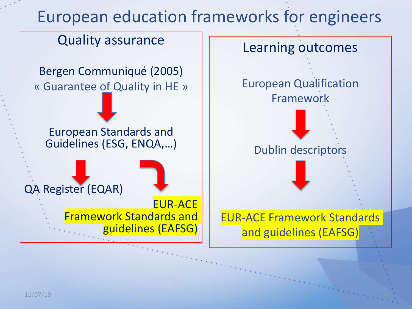## European education frameworks for engineers

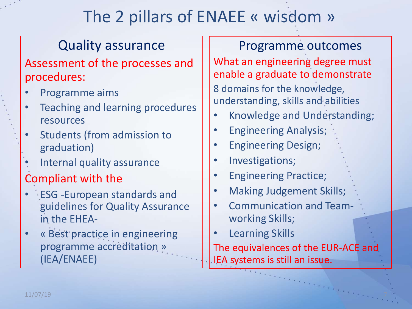## The 2 pillars of ENAEE « wisdom »

### Quality assurance

#### Assessment of the processes and procedures:

- Programme aims
- Teaching and learning procedures resources
- Students (from admission to graduation)
- Internal quality assurance

### Compliant with the

- ESG -European standards and guidelines for Quality Assurance in the EHEA-
- « Best practice in engineering programme accreditation » (IEA/ENAEE)

Programme outcomes What an engineering degree must enable a graduate to demonstrate 8 domains for the knowledge, understanding, skills and abilities

- Knowledge and Understanding;
- Engineering Analysis;
- Engineering Design;
- Investigations;
- Engineering Practice;
- Making Judgement Skills;
- Communication and Teamworking Skills;
- Learning Skills

The equivalences of the EUR-ACE and IEA systems is still an issue.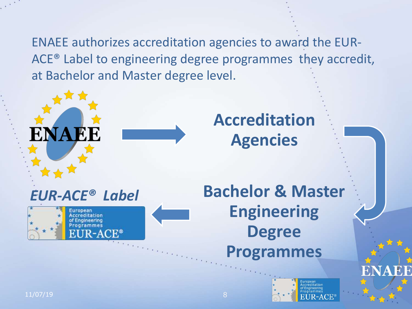ENAEE authorizes accreditation agencies to award the EUR-ACE® Label to engineering degree programmes they accredit, at Bachelor and Master degree level.





## **Accreditation Agencies**

**Bachelor & Master Engineering Degree Programmes**



11/07/19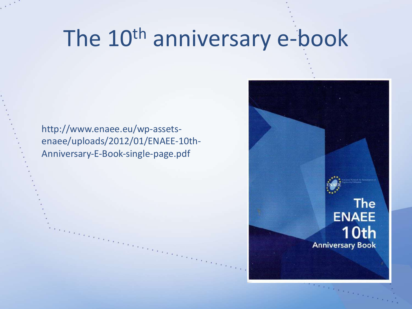## The 10<sup>th</sup> anniversary e-book

http://www.enaee.eu/wp-assetsenaee/uploads/2012/01/ENAEE-10th-Anniversary-E-Book-single-page.pdf

> **The ENAEE** 10th **Anniversary Book**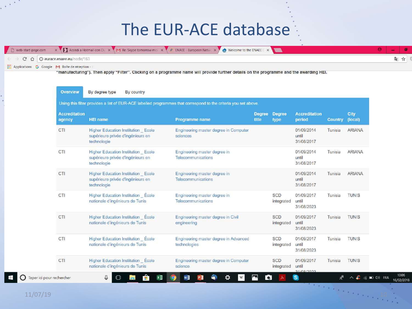### The EUR-ACE database

|                                                                      |  | The web-start-page.com x VI Accedi a Hotmail con Oli x VI M Re: Skype tomorrow mci x VI ENAEE - European Netwi x VI Co Welcome to the ENAEE L x |  |  |
|----------------------------------------------------------------------|--|-------------------------------------------------------------------------------------------------------------------------------------------------|--|--|
| $\epsilon \rightarrow C \ \hat{\Omega}$   0 eurace.enaee.eu/node/163 |  |                                                                                                                                                 |  |  |
| Applications G Google M Boite de réception -                         |  |                                                                                                                                                 |  |  |

"manutacturing"). Then apply "Filter". Clicking on a programme name will provide further details on the programme and the awarding HEI.

| <b>Accreditation</b><br>agency | <b>HEI name</b>                                                                        | Programme name                                        | <b>Degree</b><br>title | <b>Degree</b><br>type    | <b>Accreditation</b><br>period    | <b>Country</b> | City<br>(local) |
|--------------------------------|----------------------------------------------------------------------------------------|-------------------------------------------------------|------------------------|--------------------------|-----------------------------------|----------------|-----------------|
| CTI                            | Higher Education Institution Ecole<br>supérieure privée d'ingénieurs en<br>technologie | Engineering master degree in Computer<br>sciences     |                        |                          | 01/09/2014<br>until<br>31/08/2017 | Tunisia        | <b>ARIANA</b>   |
| CTI                            | Higher Education Institution Ecole<br>supérieure privée d'ingénieurs en<br>technologie | Engineering master degree in<br>Telecommunications    |                        |                          | 01/09/2014<br>until<br>31/08/2017 | Tunisia        | <b>ARIANA</b>   |
| CTI                            | Higher Education Institution Ecole<br>supérieure privée d'ingénieurs en<br>technologie | Engineering master degree in<br>Telecommunications    |                        |                          | 01/09/2014<br>until<br>31/08/2017 | Tunisia        | <b>ARIANA</b>   |
| CTI                            | Higher Education Institution Ecole<br>nationale d'ingénieurs de Tunis                  | Engineering master degree in<br>Telecommunications    |                        | <b>SCD</b><br>integrated | 01/09/2017<br>until<br>31/08/2023 | Tunisia        | <b>TUNIS</b>    |
| CTI                            | Higher Education Institution École<br>nationale d'ingénieurs de Tunis                  | Engineering master degree in Civil<br>engineering     |                        | SCD<br>integrated        | 01/09/2017<br>until<br>31/08/2023 | Tunisia        | <b>TUNIS</b>    |
| CTI                            | <b>Higher Education Institution</b> Ecole<br>nationale d'ingénieurs de Tunis           | Engineering master degree in Advanced<br>technologies |                        | <b>SCD</b><br>integrated | 01/09/2017<br>until<br>31/08/2023 | Tunisia        | <b>TUNIS</b>    |
| CTI                            | Higher Education Institution Ecole<br>nationale d'ingénieurs de Tunis                  | Engineering master degree in Computer<br>science      |                        | <b>SCD</b><br>integrated | 01/09/2017<br>until<br>21/08/2022 | Tunisia        | <b>TUNIS</b>    |

10:06

16/02/2018

 $\Box$ ) FRA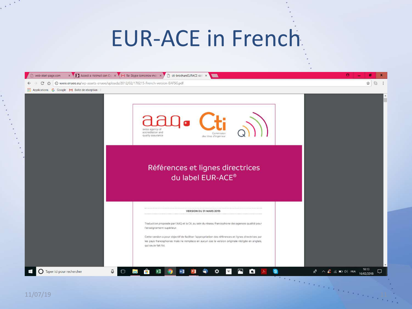## EUR-ACE in French

| web-start-page.com                                      | x / 2 Accedia Hotmail con Oli x / M Re: Skype tomorrow moli x / 3 cti-brochureEURACE-coli x |                                                                                                                                                                                                                                                                                                                                   |   | e                                                                                         |
|---------------------------------------------------------|---------------------------------------------------------------------------------------------|-----------------------------------------------------------------------------------------------------------------------------------------------------------------------------------------------------------------------------------------------------------------------------------------------------------------------------------|---|-------------------------------------------------------------------------------------------|
| $\mathcal{C}$<br>$\Omega$<br>$\leftarrow$ $\rightarrow$ | © www.enaee.eu/wp-assets-enaee/uploads/2012/02/170215-French-version-EAFSG.pdf              |                                                                                                                                                                                                                                                                                                                                   |   | $\rm \vec{r}$<br>G                                                                        |
| Applications G Google M Bolte de réception -            |                                                                                             |                                                                                                                                                                                                                                                                                                                                   |   |                                                                                           |
|                                                         | swiss agency of<br>accreditation and<br>quality assurance                                   | des titres d'ingenieur                                                                                                                                                                                                                                                                                                            |   |                                                                                           |
|                                                         |                                                                                             | Références et lignes directrices<br>du label EUR-ACE®                                                                                                                                                                                                                                                                             |   |                                                                                           |
|                                                         | l'enseignement supérieur.                                                                   | VERSION DU 31 MARS 2015<br>Traduction proposée par l'AAQ et la Cti, au sein du réseau francophone des agences qualité pour<br>Cette version a pour objectif de faciliter l'appropriation des références et lignes directrices par<br>les pays francophones mais ne remplace en aucun cas la version originale rédigée en anglais, |   |                                                                                           |
| $\bigcirc$ Taper ici pour rechercher<br>æ               | qui seule fait foi.<br>$\mathbb Q$<br>$\Box$<br><b>Section</b><br><b>PR</b>                 | $\blacksquare$<br>w∃<br>☆<br>$\bullet$<br>$\mathbf{W}$<br>門                                                                                                                                                                                                                                                                       | G | 10:13<br>$R^R \times L^2 \otimes \blacksquare \oplus \blacksquare$ FRA<br>Q<br>16/02/2018 |
| 11/07/19                                                |                                                                                             |                                                                                                                                                                                                                                                                                                                                   |   |                                                                                           |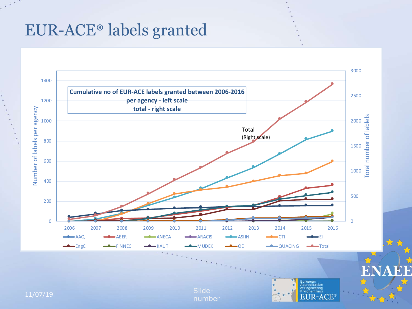### EUR-ACE® labels granted

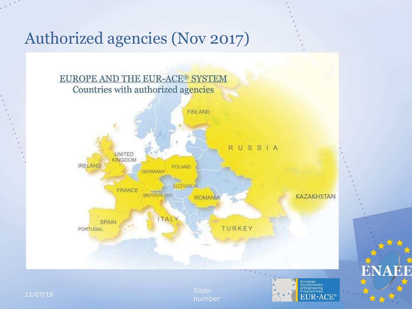### Authorized agencies (Nov 2017)



number



**NAEE** 

R,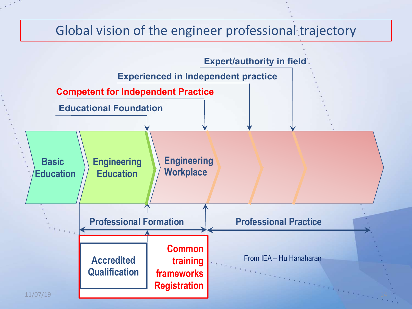#### Global vision of the engineer professional trajectory

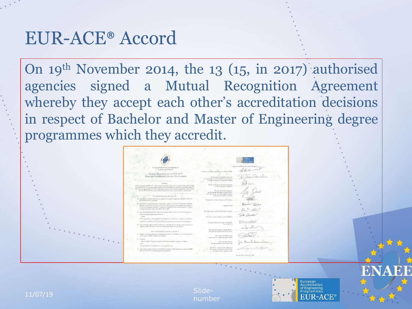### EUR-ACE® Accord

On 19th November 2014, the 13 (15, in 2017) authorised agencies signed a Mutual Recognition Agreement whereby they accept each other's accreditation decisions in respect of Bachelor and Master of Engineering degree programmes which they accredit.

| l'arregers Kermak for Secratische et-<br>Fingingering Edmonton                                                                                                                                                                                                                                                                               | Austinian by Fightering Education in Basis (MED)-                                                                                               | Same in tokel's finds safarred agree |
|----------------------------------------------------------------------------------------------------------------------------------------------------------------------------------------------------------------------------------------------------------------------------------------------------------------------------------------------|-------------------------------------------------------------------------------------------------------------------------------------------------|--------------------------------------|
| MUTUAL ROCOGNITION OF FUR ACT.*<br>LABITIED ENGINEERING DEGRET PROGRAMMES.                                                                                                                                                                                                                                                                   | Hannah Agray for Quality Americans.<br>and flamateaster of States (NS BEA), in comment our<br>cell EE - bookes A la ligogeria di Espain-        |                                      |
| $10.846$ er.<br>Viena response of FIR ACP Global represented destroyment and provides authorized to \$200.00<br>weeded U.S.ACC has foremore accommodating and started and COACL for experience<br>minimum telephone in a great management that distribution "DE-E24 advance on your con-                                                     | The fluxuation Agency for Cluster Assumers<br>is Heart Blassies (ARAUDE)                                                                        |                                      |
| mar de \$135.6000 Sympack frankeds equivariant as durantes. Industrial Mattelland,<br>AT subjects annual decrease sign rate.                                                                                                                                                                                                                 | Shands Vendidaeramour.<br>ra-Saulingaugi die Ingeniewe etateristimi,<br>in Islamatical Grassies shakes and in-<br>Halkowski, W. (ASEN), Granner |                                      |
| (f). North information and probes, an aduct and countries all agreem and otred to revisit the<br>EURNEEN Markets comparable.                                                                                                                                                                                                                 | Censiolen da Faix (ThyDrian (UTE) Parison                                                                                                       |                                      |
| 81 EURACE" kickel resonance ac desired to satisfy the LUKACE" (supersed) bundaris,<br>Theodoro ha recontor chairman at Ly and a thoreal egricy are umptible New the price<br>or very of accuracy the DUR-ACITY. Fractioneds to activitation on all are booked signation. In poperty<br>of mail ambig clears anyons are established second to | Lighters broad                                                                                                                                  | Buen                                 |
| C1 East surfaceed agent shorts sole even concentrate the material control opposite.<br>If the recogniting majimenting qualifications<br>widow"                                                                                                                                                                                               | The Top'swing Countil (Direct/Direction), Way(2)<br>Freek Almana Federal a Center (FANDE)                                                       | De S. 142                            |
| 20 By registring at forecast professional registers at theirs: in its courses or invisibility.<br>ance for result in a man was percent of '154-40' in place of the con-                                                                                                                                                                      |                                                                                                                                                 | elli a certacul                      |
| ID Fact authorisal agency shelds make over instantial offer, to promine this agents so to<br>replices. Figher of cardiate in the financial constitution of the highest and                                                                                                                                                                   | Sexual Authority, Gorist tohat ared<br>Result 206/211                                                                                           |                                      |
| full armital worrichts spaces; inspected at                                                                                                                                                                                                                                                                                                  | Acceleries for Emission cod According in<br>of Fashwing Rognate (VISHKEL Sales)                                                                 |                                      |
| II : Delina fering algobiantal equating printe in this fitting of a coordinately<br>at his agent vulche d' préferient quinque.<br>21 Molton                                                                                                                                                                                                  | Sain month of any designs and<br>and to smoker to higher education. SONG!                                                                       |                                      |
| tokstrashini dagawag peluru ferspilasongkol sagiran 2 égine<br>inf.<br>exclusions to law preterms join granates at-                                                                                                                                                                                                                          | Daire as foresterer-<br>Perceptua Englaces Salessiane, SOES                                                                                     |                                      |
| 28 Early suite to take if indeed from Bultisler to Marge to PhD programs, wouldn't ENAIX.<br>dentured O.B.ACP his lab expositing or extension.                                                                                                                                                                                               | OCACING Automobile professions<br>Advertist Dentity and PCS-428.<br>At yant exhibiting and his                                                  |                                      |
|                                                                                                                                                                                                                                                                                                                                              |                                                                                                                                                 | Beaco, 20 cel Specular 2014.         |
|                                                                                                                                                                                                                                                                                                                                              |                                                                                                                                                 |                                      |



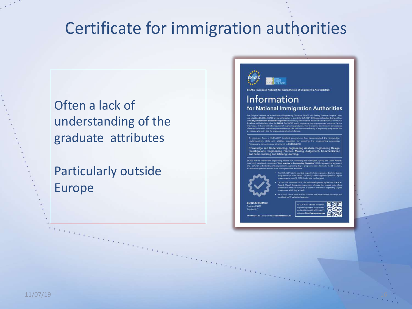## Certificate for immigration authorities

### Often a lack of understanding of the graduate attributes

### Particularly outside Europe